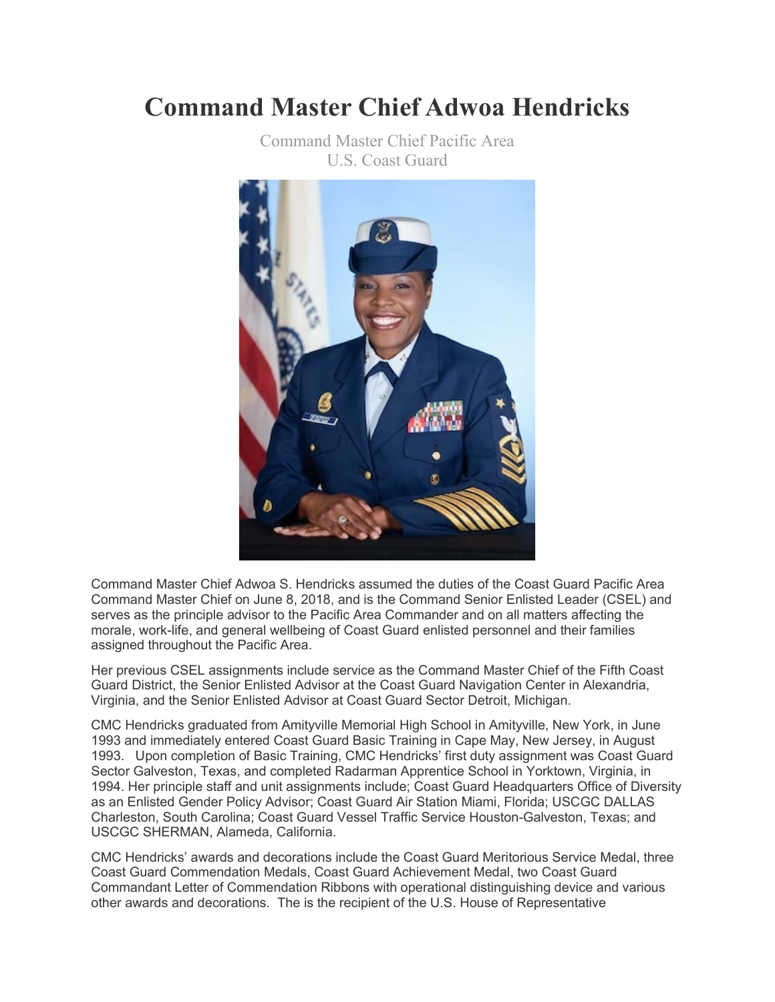## **Command Master Chief Adwoa Hendricks**



Command Master Chief Pacific Area U.S. Coast Guard

Command Master Chief Adwoa S. Hendricks assumed the duties of the Coast Guard Pacific Area Command Master Chief on June 8, 2018, and is the Command Senior Enlisted Leader (CSEL) and serves as the principle advisor to the Pacific Area Commander and on all matters affecting the morale, work-life, and general wellbeing of Coast Guard enlisted personnel and their families assigned throughout the Pacific Area.

Her previous CSEL assignments include service as the Command Master Chief of the Fifth Coast Guard District, the Senior Enlisted Advisor at the Coast Guard Navigation Center in Alexandria, Virginia, and the Senior Enlisted Advisor at Coast Guard Sector Detroit, Michigan.

CMC Hendricks graduated from Amityville Memorial High School in Amityville, New York, in June 1993 and immediately entered Coast Guard Basic Training in Cape May, New Jersey, in August 1993. Upon completion of Basic Training, CMC Hendricks' first duty assignment was Coast Guard Sector Galveston, Texas, and completed Radarman Apprentice School in Yorktown, Virginia, in 1994. Her principle staff and unit assignments include; Coast Guard Headquarters Office of Diversity as an Enlisted Gender Policy Advisor; Coast Guard Air Station Miami, Florida; USCGC DALLAS Charleston, South Carolina; Coast Guard Vessel Traffic Service Houston-Galveston, Texas; and USCGC SHERMAN, Alameda, California.

CMC Hendricks' awards and decorations include the Coast Guard Meritorious Service Medal, three Coast Guard Commendation Medals, Coast Guard Achievement Medal, two Coast Guard Commandant Letter of Commendation Ribbons with operational distinguishing device and various other awards and decorations. The is the recipient of the U.S. House of Representative